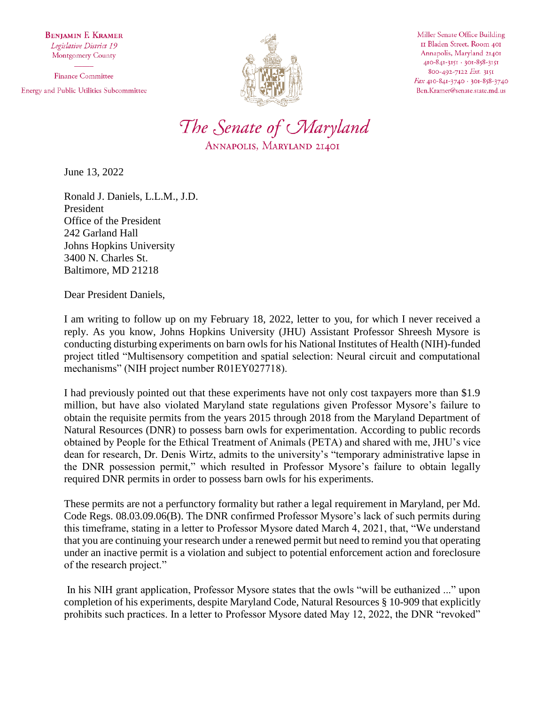**BENJAMIN F. KRAMER** Legislative District 19 Montgomery County

**Finance Committee** Energy and Public Utilities Subcommittee



Miller Senate Office Building II Bladen Street, Room 401 Annapolis, Maryland 21401 410-841-3151 · 301-858-3151 800-492-7122 Ext. 3151 Fax 410-841-3740 · 301-858-3740 Ben.Kramer@senate.state.md.us



June 13, 2022

Ronald J. Daniels, L.L.M., J.D. President Office of the President 242 Garland Hall Johns Hopkins University 3400 N. Charles St. Baltimore, MD 21218

Dear President Daniels,

I am writing to follow up on my February 18, 2022, letter to you, for which I never received a reply. As you know, Johns Hopkins University (JHU) Assistant Professor Shreesh Mysore is conducting disturbing experiments on barn owls for his National Institutes of Health (NIH)-funded project titled "Multisensory competition and spatial selection: Neural circuit and computational mechanisms" (NIH project number R01EY027718).

I had previously pointed out that these experiments have not only cost taxpayers more than \$1.9 million, but have also violated Maryland state regulations given Professor Mysore's failure to obtain the requisite permits from the years 2015 through 2018 from the Maryland Department of Natural Resources (DNR) to possess barn owls for experimentation. According to public records obtained by People for the Ethical Treatment of Animals (PETA) and shared with me, JHU's vice dean for research, Dr. Denis Wirtz, admits to the university's "temporary administrative lapse in the DNR possession permit," which resulted in Professor Mysore's failure to obtain legally required DNR permits in order to possess barn owls for his experiments.

These permits are not a perfunctory formality but rather a legal requirement in Maryland, per Md. Code Regs. 08.03.09.06(B). The DNR confirmed Professor Mysore's lack of such permits during this timeframe, stating in a letter to Professor Mysore dated March 4, 2021, that, "We understand that you are continuing your research under a renewed permit but need to remind you that operating under an inactive permit is a violation and subject to potential enforcement action and foreclosure of the research project."

In his NIH grant application, Professor Mysore states that the owls "will be euthanized ..." upon completion of his experiments, despite Maryland Code, Natural Resources § 10-909 that explicitly prohibits such practices. In a letter to Professor Mysore dated May 12, 2022, the DNR "revoked"